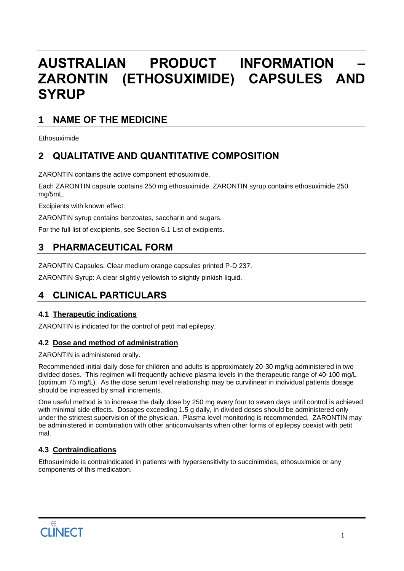# **AUSTRALIAN PRODUCT INFORMATION – ZARONTIN (ETHOSUXIMIDE) CAPSULES AND SYRUP**

## **1 NAME OF THE MEDICINE**

Ethosuximide

## **2 QUALITATIVE AND QUANTITATIVE COMPOSITION**

ZARONTIN contains the active component ethosuximide.

Each ZARONTIN capsule contains 250 mg ethosuximide. ZARONTIN syrup contains ethosuximide 250 mg/5mL.

Excipients with known effect:

ZARONTIN syrup contains benzoates, saccharin and sugars.

For the full list of excipients, see Section 6.1 List of excipients.

## **3 PHARMACEUTICAL FORM**

ZARONTIN Capsules: Clear medium orange capsules printed P-D 237.

ZARONTIN Syrup: A clear slightly yellowish to slightly pinkish liquid.

## **4 CLINICAL PARTICULARS**

## **4.1 Therapeutic indications**

ZARONTIN is indicated for the control of petit mal epilepsy.

## **4.2 Dose and method of administration**

ZARONTIN is administered orally.

Recommended initial daily dose for children and adults is approximately 20-30 mg/kg administered in two divided doses. This regimen will frequently achieve plasma levels in the therapeutic range of 40-100 mg/L (optimum 75 mg/L). As the dose serum level relationship may be curvilinear in individual patients dosage should be increased by small increments.

One useful method is to increase the daily dose by 250 mg every four to seven days until control is achieved with minimal side effects. Dosages exceeding 1.5 g daily, in divided doses should be administered only under the strictest supervision of the physician. Plasma level monitoring is recommended. ZARONTIN may be administered in combination with other anticonvulsants when other forms of epilepsy coexist with petit mal.

## **4.3 Contraindications**

Ethosuximide is contraindicated in patients with hypersensitivity to succinimides, ethosuximide or any components of this medication.

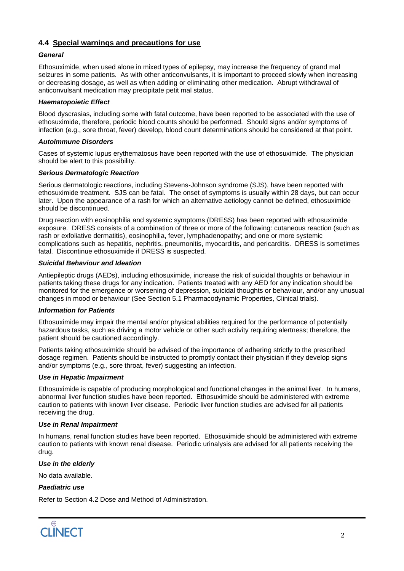## **4.4 Special warnings and precautions for use**

### *General*

Ethosuximide, when used alone in mixed types of epilepsy, may increase the frequency of grand mal seizures in some patients. As with other anticonvulsants, it is important to proceed slowly when increasing or decreasing dosage, as well as when adding or eliminating other medication. Abrupt withdrawal of anticonvulsant medication may precipitate petit mal status.

### *Haematopoietic Effect*

Blood dyscrasias, including some with fatal outcome, have been reported to be associated with the use of ethosuximide, therefore, periodic blood counts should be performed. Should signs and/or symptoms of infection (e.g., sore throat, fever) develop, blood count determinations should be considered at that point.

### *Autoimmune Disorders*

Cases of systemic lupus erythematosus have been reported with the use of ethosuximide. The physician should be alert to this possibility.

### *Serious Dermatologic Reaction*

Serious dermatologic reactions, including Stevens-Johnson syndrome (SJS), have been reported with ethosuximide treatment. SJS can be fatal. The onset of symptoms is usually within 28 days, but can occur later. Upon the appearance of a rash for which an alternative aetiology cannot be defined, ethosuximide should be discontinued.

Drug reaction with eosinophilia and systemic symptoms (DRESS) has been reported with ethosuximide exposure. DRESS consists of a combination of three or more of the following: cutaneous reaction (such as rash or exfoliative dermatitis), eosinophilia, fever, lymphadenopathy; and one or more systemic complications such as hepatitis, nephritis, pneumonitis, myocarditis, and pericarditis. DRESS is sometimes fatal. Discontinue ethosuximide if DRESS is suspected.

### *Suicidal Behaviour and Ideation*

Antiepileptic drugs (AEDs), including ethosuximide, increase the risk of suicidal thoughts or behaviour in patients taking these drugs for any indication. Patients treated with any AED for any indication should be monitored for the emergence or worsening of depression, suicidal thoughts or behaviour, and/or any unusual changes in mood or behaviour (See Section 5.1 Pharmacodynamic Properties, Clinical trials).

#### *Information for Patients*

Ethosuximide may impair the mental and/or physical abilities required for the performance of potentially hazardous tasks, such as driving a motor vehicle or other such activity requiring alertness; therefore, the patient should be cautioned accordingly.

Patients taking ethosuximide should be advised of the importance of adhering strictly to the prescribed dosage regimen. Patients should be instructed to promptly contact their physician if they develop signs and/or symptoms (e.g., sore throat, fever) suggesting an infection.

## *Use in Hepatic Impairment*

Ethosuximide is capable of producing morphological and functional changes in the animal liver. In humans, abnormal liver function studies have been reported. Ethosuximide should be administered with extreme caution to patients with known liver disease. Periodic liver function studies are advised for all patients receiving the drug.

## *Use in Renal Impairment*

In humans, renal function studies have been reported. Ethosuximide should be administered with extreme caution to patients with known renal disease. Periodic urinalysis are advised for all patients receiving the drug.

#### *Use in the elderly*

No data available.

#### *Paediatric use*

Refer to Section 4.2 Dose and Method of Administration.

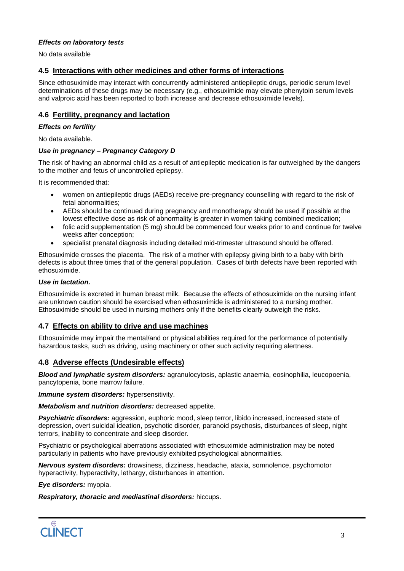#### *Effects on laboratory tests*

No data available

## **4.5 Interactions with other medicines and other forms of interactions**

Since ethosuximide may interact with concurrently administered antiepileptic drugs, periodic serum level determinations of these drugs may be necessary (e.g., ethosuximide may elevate phenytoin serum levels and valproic acid has been reported to both increase and decrease ethosuximide levels).

### **4.6 Fertility, pregnancy and lactation**

#### *Effects on fertility*

No data available.

### *Use in pregnancy – Pregnancy Category D*

The risk of having an abnormal child as a result of antiepileptic medication is far outweighed by the dangers to the mother and fetus of uncontrolled epilepsy.

It is recommended that:

- women on antiepileptic drugs (AEDs) receive pre-pregnancy counselling with regard to the risk of fetal abnormalities;
- AEDs should be continued during pregnancy and monotherapy should be used if possible at the lowest effective dose as risk of abnormality is greater in women taking combined medication;
- folic acid supplementation (5 mg) should be commenced four weeks prior to and continue for twelve weeks after conception;
- specialist prenatal diagnosis including detailed mid-trimester ultrasound should be offered.

Ethosuximide crosses the placenta. The risk of a mother with epilepsy giving birth to a baby with birth defects is about three times that of the general population. Cases of birth defects have been reported with ethosuximide.

#### *Use in lactation.*

Ethosuximide is excreted in human breast milk. Because the effects of ethosuximide on the nursing infant are unknown caution should be exercised when ethosuximide is administered to a nursing mother. Ethosuximide should be used in nursing mothers only if the benefits clearly outweigh the risks.

## **4.7 Effects on ability to drive and use machines**

Ethosuximide may impair the mental/and or physical abilities required for the performance of potentially hazardous tasks, such as driving, using machinery or other such activity requiring alertness.

## **4.8 Adverse effects (Undesirable effects)**

*Blood and lymphatic system disorders:* agranulocytosis, aplastic anaemia, eosinophilia, leucopoenia, pancytopenia, bone marrow failure.

*Immune system disorders:* hypersensitivity.

*Metabolism and nutrition disorders:* decreased appetite.

*Psychiatric disorders:* aggression, euphoric mood, sleep terror, libido increased, increased state of depression, overt suicidal ideation, psychotic disorder, paranoid psychosis, disturbances of sleep, night terrors, inability to concentrate and sleep disorder.

Psychiatric or psychological aberrations associated with ethosuximide administration may be noted particularly in patients who have previously exhibited psychological abnormalities.

*Nervous system disorders:* drowsiness, dizziness, headache, ataxia, somnolence, psychomotor hyperactivity, hyperactivity, lethargy, disturbances in attention.

*Eye disorders:* myopia.

*Respiratory, thoracic and mediastinal disorders:* hiccups.

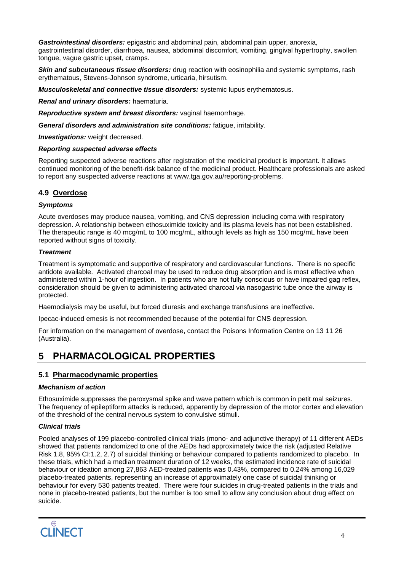*Gastrointestinal disorders:* epigastric and abdominal pain, abdominal pain upper, anorexia, gastrointestinal disorder, diarrhoea, nausea, abdominal discomfort, vomiting, gingival hypertrophy, swollen tongue, vague gastric upset, cramps.

*Skin and subcutaneous tissue disorders:* drug reaction with eosinophilia and systemic symptoms, rash erythematous, Stevens-Johnson syndrome, urticaria, hirsutism.

*Musculoskeletal and connective tissue disorders:* systemic lupus erythematosus.

*Renal and urinary disorders:* haematuria.

*Reproductive system and breast disorders:* vaginal haemorrhage.

*General disorders and administration site conditions:* fatigue, irritability.

*Investigations:* weight decreased.

### *Reporting suspected adverse effects*

Reporting suspected adverse reactions after registration of the medicinal product is important. It allows continued monitoring of the benefit-risk balance of the medicinal product. Healthcare professionals are asked to report any suspected adverse reactions at [www.tga.gov.au/reporting-problems.](http://www.tga.gov.au/reporting-problems)

## **4.9 Overdose**

## *Symptoms*

Acute overdoses may produce nausea, vomiting, and CNS depression including coma with respiratory depression. A relationship between ethosuximide toxicity and its plasma levels has not been established. The therapeutic range is 40 mcg/mL to 100 mcg/mL, although levels as high as 150 mcg/mL have been reported without signs of toxicity.

## *Treatment*

Treatment is symptomatic and supportive of respiratory and cardiovascular functions. There is no specific antidote available. Activated charcoal may be used to reduce drug absorption and is most effective when administered within 1-hour of ingestion. In patients who are not fully conscious or have impaired gag reflex, consideration should be given to administering activated charcoal via nasogastric tube once the airway is protected.

Haemodialysis may be useful, but forced diuresis and exchange transfusions are ineffective.

Ipecac-induced emesis is not recommended because of the potential for CNS depression.

For information on the management of overdose, contact the Poisons Information Centre on 13 11 26 (Australia).

## **5 PHARMACOLOGICAL PROPERTIES**

## **5.1 Pharmacodynamic properties**

## *Mechanism of action*

Ethosuximide suppresses the paroxysmal spike and wave pattern which is common in petit mal seizures. The frequency of epileptiform attacks is reduced, apparently by depression of the motor cortex and elevation of the threshold of the central nervous system to convulsive stimuli.

## *Clinical trials*

Pooled analyses of 199 placebo-controlled clinical trials (mono- and adjunctive therapy) of 11 different AEDs showed that patients randomized to one of the AEDs had approximately twice the risk (adjusted Relative Risk 1.8, 95% CI:1.2, 2.7) of suicidal thinking or behaviour compared to patients randomized to placebo. In these trials, which had a median treatment duration of 12 weeks, the estimated incidence rate of suicidal behaviour or ideation among 27,863 AED-treated patients was 0.43%, compared to 0.24% among 16,029 placebo-treated patients, representing an increase of approximately one case of suicidal thinking or behaviour for every 530 patients treated. There were four suicides in drug-treated patients in the trials and none in placebo-treated patients, but the number is too small to allow any conclusion about drug effect on suicide.

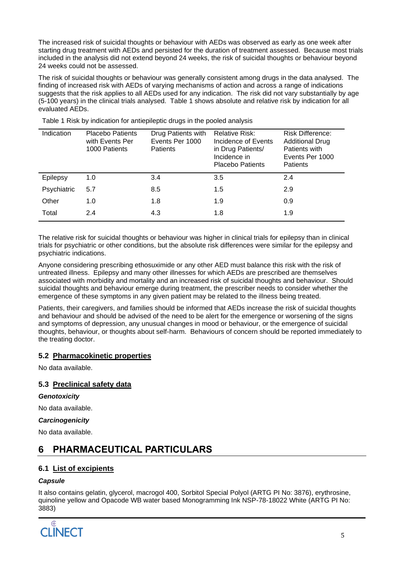The increased risk of suicidal thoughts or behaviour with AEDs was observed as early as one week after starting drug treatment with AEDs and persisted for the duration of treatment assessed. Because most trials included in the analysis did not extend beyond 24 weeks, the risk of suicidal thoughts or behaviour beyond 24 weeks could not be assessed.

The risk of suicidal thoughts or behaviour was generally consistent among drugs in the data analysed. The finding of increased risk with AEDs of varying mechanisms of action and across a range of indications suggests that the risk applies to all AEDs used for any indication. The risk did not vary substantially by age (5-100 years) in the clinical trials analysed. Table 1 shows absolute and relative risk by indication for all evaluated AEDs.

| Indication  | <b>Placebo Patients</b><br>with Events Per<br>1000 Patients | Drug Patients with<br>Events Per 1000<br><b>Patients</b> | Relative Risk:<br>Incidence of Events<br>in Drug Patients/<br>Incidence in<br><b>Placebo Patients</b> | <b>Risk Difference:</b><br><b>Additional Drug</b><br>Patients with<br>Events Per 1000<br><b>Patients</b> |
|-------------|-------------------------------------------------------------|----------------------------------------------------------|-------------------------------------------------------------------------------------------------------|----------------------------------------------------------------------------------------------------------|
| Epilepsy    | 1.0                                                         | 3.4                                                      | 3.5                                                                                                   | 2.4                                                                                                      |
| Psychiatric | 5.7                                                         | 8.5                                                      | 1.5                                                                                                   | 2.9                                                                                                      |
| Other       | 1.0                                                         | 1.8                                                      | 1.9                                                                                                   | 0.9                                                                                                      |
| Total       | 2.4                                                         | 4.3                                                      | 1.8                                                                                                   | 1.9                                                                                                      |

Table 1 Risk by indication for antiepileptic drugs in the pooled analysis

The relative risk for suicidal thoughts or behaviour was higher in clinical trials for epilepsy than in clinical trials for psychiatric or other conditions, but the absolute risk differences were similar for the epilepsy and psychiatric indications.

Anyone considering prescribing ethosuximide or any other AED must balance this risk with the risk of untreated illness. Epilepsy and many other illnesses for which AEDs are prescribed are themselves associated with morbidity and mortality and an increased risk of suicidal thoughts and behaviour. Should suicidal thoughts and behaviour emerge during treatment, the prescriber needs to consider whether the emergence of these symptoms in any given patient may be related to the illness being treated.

Patients, their caregivers, and families should be informed that AEDs increase the risk of suicidal thoughts and behaviour and should be advised of the need to be alert for the emergence or worsening of the signs and symptoms of depression, any unusual changes in mood or behaviour, or the emergence of suicidal thoughts, behaviour, or thoughts about self-harm. Behaviours of concern should be reported immediately to the treating doctor.

## **5.2 Pharmacokinetic properties**

No data available.

## **5.3 Preclinical safety data**

#### *Genotoxicity*

No data available.

#### *Carcinogenicity*

No data available.

## **6 PHARMACEUTICAL PARTICULARS**

## **6.1 List of excipients**

#### *Capsule*

It also contains gelatin, glycerol, macrogol 400, Sorbitol Special Polyol (ARTG PI No: 3876), erythrosine, quinoline yellow and Opacode WB water based Monogramming Ink NSP-78-18022 White (ARTG PI No: 3883)

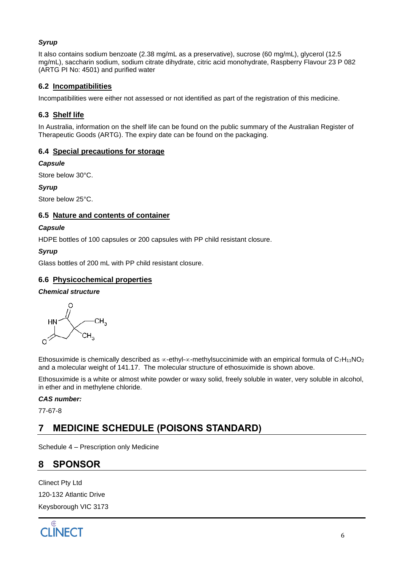## *Syrup*

It also contains sodium benzoate (2.38 mg/mL as a preservative), sucrose (60 mg/mL), glycerol (12.5 mg/mL), saccharin sodium, sodium citrate dihydrate, citric acid monohydrate, Raspberry Flavour 23 P 082 (ARTG PI No: 4501) and purified water

## **6.2 Incompatibilities**

Incompatibilities were either not assessed or not identified as part of the registration of this medicine.

## **6.3 Shelf life**

In Australia, information on the shelf life can be found on the public summary of the Australian Register of Therapeutic Goods (ARTG). The expiry date can be found on the packaging.

## **6.4 Special precautions for storage**

### *Capsule*

Store below 30°C.

*Syrup*

Store below 25°C.

## **6.5 Nature and contents of container**

## *Capsule*

HDPE bottles of 100 capsules or 200 capsules with PP child resistant closure.

## *Syrup*

Glass bottles of 200 mL with PP child resistant closure.

## **6.6 Physicochemical properties**

## *Chemical structure*

 $\cap$  $CH<sub>3</sub>$  $CH<sub>3</sub>$ 

Ethosuximide is chemically described as  $\infty$ -ethyl- $\infty$ -methylsuccinimide with an empirical formula of C<sub>7</sub>H<sub>11</sub>NO<sub>2</sub> and a molecular weight of 141.17. The molecular structure of ethosuximide is shown above.

Ethosuximide is a white or almost white powder or waxy solid, freely soluble in water, very soluble in alcohol, in ether and in methylene chloride.

## *CAS number:*

77-67-8

## **7 MEDICINE SCHEDULE (POISONS STANDARD)**

Schedule 4 – Prescription only Medicine

## **8 SPONSOR**

Clinect Pty Ltd 120-132 Atlantic Drive Keysborough VIC 3173